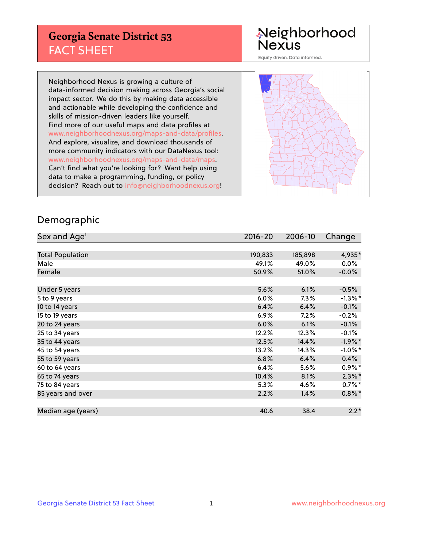## **Georgia Senate District 53** FACT SHEET

# Neighborhood<br>Nexus

Equity driven. Data informed.

Neighborhood Nexus is growing a culture of data-informed decision making across Georgia's social impact sector. We do this by making data accessible and actionable while developing the confidence and skills of mission-driven leaders like yourself. Find more of our useful maps and data profiles at www.neighborhoodnexus.org/maps-and-data/profiles. And explore, visualize, and download thousands of more community indicators with our DataNexus tool: www.neighborhoodnexus.org/maps-and-data/maps. Can't find what you're looking for? Want help using data to make a programming, funding, or policy decision? Reach out to [info@neighborhoodnexus.org!](mailto:info@neighborhoodnexus.org)



### Demographic

| Sex and Age <sup>1</sup> | $2016 - 20$ | 2006-10 | Change     |
|--------------------------|-------------|---------|------------|
|                          |             |         |            |
| <b>Total Population</b>  | 190,833     | 185,898 | 4,935*     |
| Male                     | 49.1%       | 49.0%   | $0.0\%$    |
| Female                   | 50.9%       | 51.0%   | $-0.0\%$   |
|                          |             |         |            |
| Under 5 years            | 5.6%        | 6.1%    | $-0.5%$    |
| 5 to 9 years             | 6.0%        | $7.3\%$ | $-1.3\%$ * |
| 10 to 14 years           | 6.4%        | 6.4%    | $-0.1%$    |
| 15 to 19 years           | 6.9%        | 7.2%    | $-0.2%$    |
| 20 to 24 years           | 6.0%        | 6.1%    | $-0.1%$    |
| 25 to 34 years           | 12.2%       | 12.3%   | $-0.1%$    |
| 35 to 44 years           | 12.5%       | 14.4%   | $-1.9%$ *  |
| 45 to 54 years           | 13.2%       | 14.3%   | $-1.0\%$ * |
| 55 to 59 years           | 6.8%        | 6.4%    | 0.4%       |
| 60 to 64 years           | 6.4%        | 5.6%    | $0.9\%*$   |
| 65 to 74 years           | 10.4%       | 8.1%    | $2.3\%$ *  |
| 75 to 84 years           | 5.3%        | 4.6%    | $0.7%$ *   |
| 85 years and over        | 2.2%        | 1.4%    | $0.8\%$ *  |
|                          |             |         |            |
| Median age (years)       | 40.6        | 38.4    | $2.2*$     |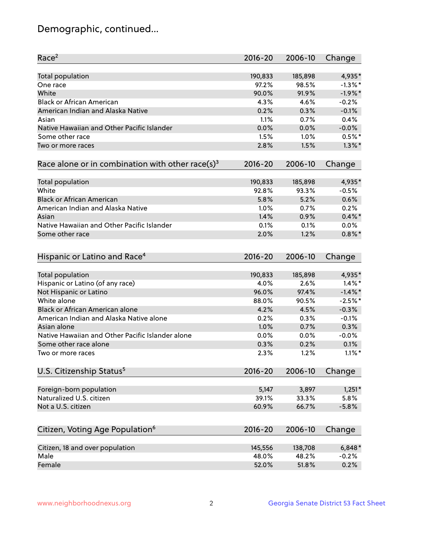## Demographic, continued...

| Race <sup>2</sup>                                            | $2016 - 20$ | 2006-10 | Change     |
|--------------------------------------------------------------|-------------|---------|------------|
| <b>Total population</b>                                      | 190,833     | 185,898 | 4,935*     |
| One race                                                     | 97.2%       | 98.5%   | $-1.3\%$ * |
| White                                                        | 90.0%       | 91.9%   | $-1.9%$ *  |
| <b>Black or African American</b>                             | 4.3%        | 4.6%    | $-0.2%$    |
| American Indian and Alaska Native                            | 0.2%        | 0.3%    | $-0.1%$    |
| Asian                                                        | 1.1%        | 0.7%    | 0.4%       |
| Native Hawaiian and Other Pacific Islander                   | 0.0%        | 0.0%    | $-0.0%$    |
| Some other race                                              | 1.5%        | 1.0%    | $0.5%$ *   |
| Two or more races                                            | 2.8%        | 1.5%    | $1.3\%$ *  |
| Race alone or in combination with other race(s) <sup>3</sup> | $2016 - 20$ | 2006-10 | Change     |
| Total population                                             | 190,833     | 185,898 | 4,935*     |
| White                                                        | 92.8%       | 93.3%   | $-0.5%$    |
| <b>Black or African American</b>                             | 5.8%        | 5.2%    | 0.6%       |
| American Indian and Alaska Native                            | 1.0%        | 0.7%    | 0.2%       |
| Asian                                                        | 1.4%        | 0.9%    | $0.4\%$ *  |
| Native Hawaiian and Other Pacific Islander                   | 0.1%        | 0.1%    | 0.0%       |
| Some other race                                              | 2.0%        | 1.2%    | $0.8\%$ *  |
|                                                              |             |         |            |
| Hispanic or Latino and Race <sup>4</sup>                     | $2016 - 20$ | 2006-10 | Change     |
| Total population                                             | 190,833     | 185,898 | 4,935*     |
| Hispanic or Latino (of any race)                             | 4.0%        | 2.6%    | $1.4\%$ *  |
| Not Hispanic or Latino                                       | 96.0%       | 97.4%   | $-1.4\%$ * |
| White alone                                                  | 88.0%       | 90.5%   | $-2.5%$ *  |
| Black or African American alone                              | 4.2%        | 4.5%    | $-0.3%$    |
| American Indian and Alaska Native alone                      | 0.2%        | 0.3%    | $-0.1%$    |
| Asian alone                                                  | 1.0%        | 0.7%    | 0.3%       |
| Native Hawaiian and Other Pacific Islander alone             | 0.0%        | 0.0%    | $-0.0%$    |
| Some other race alone                                        | 0.3%        | 0.2%    | 0.1%       |
| Two or more races                                            | 2.3%        | 1.2%    | $1.1\%$ *  |
| U.S. Citizenship Status <sup>5</sup>                         | $2016 - 20$ | 2006-10 | Change     |
|                                                              |             |         |            |
| Foreign-born population                                      | 5,147       | 3,897   | $1,251*$   |
| Naturalized U.S. citizen                                     | 39.1%       | 33.3%   | 5.8%       |
| Not a U.S. citizen                                           | 60.9%       | 66.7%   | $-5.8%$    |
| Citizen, Voting Age Population <sup>6</sup>                  | 2016-20     | 2006-10 | Change     |
|                                                              |             |         |            |
| Citizen, 18 and over population                              | 145,556     | 138,708 | $6,848*$   |
| Male                                                         | 48.0%       | 48.2%   | $-0.2%$    |
| Female                                                       | 52.0%       | 51.8%   | 0.2%       |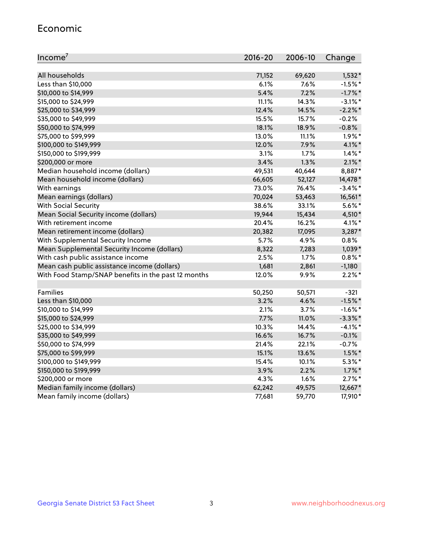#### Economic

| Income <sup>7</sup>                                 | 2016-20 | 2006-10 | Change     |
|-----------------------------------------------------|---------|---------|------------|
|                                                     |         |         |            |
| All households                                      | 71,152  | 69,620  | 1,532*     |
| Less than \$10,000                                  | 6.1%    | 7.6%    | $-1.5%$ *  |
| \$10,000 to \$14,999                                | 5.4%    | 7.2%    | $-1.7\%$ * |
| \$15,000 to \$24,999                                | 11.1%   | 14.3%   | $-3.1\%$ * |
| \$25,000 to \$34,999                                | 12.4%   | 14.5%   | $-2.2%$ *  |
| \$35,000 to \$49,999                                | 15.5%   | 15.7%   | $-0.2%$    |
| \$50,000 to \$74,999                                | 18.1%   | 18.9%   | $-0.8%$    |
| \$75,000 to \$99,999                                | 13.0%   | 11.1%   | $1.9\%$ *  |
| \$100,000 to \$149,999                              | 12.0%   | 7.9%    | 4.1%*      |
| \$150,000 to \$199,999                              | 3.1%    | 1.7%    | $1.4\%$ *  |
| \$200,000 or more                                   | 3.4%    | 1.3%    | $2.1\%$ *  |
| Median household income (dollars)                   | 49,531  | 40,644  | 8,887*     |
| Mean household income (dollars)                     | 66,605  | 52,127  | 14,478 *   |
| With earnings                                       | 73.0%   | 76.4%   | $-3.4\%$ * |
| Mean earnings (dollars)                             | 70,024  | 53,463  | 16,561*    |
| <b>With Social Security</b>                         | 38.6%   | 33.1%   | $5.6\%$ *  |
| Mean Social Security income (dollars)               | 19,944  | 15,434  | 4,510*     |
| With retirement income                              | 20.4%   | 16.2%   | $4.1\%$ *  |
| Mean retirement income (dollars)                    | 20,382  | 17,095  | 3,287*     |
| With Supplemental Security Income                   | 5.7%    | 4.9%    | 0.8%       |
| Mean Supplemental Security Income (dollars)         | 8,322   | 7,283   | $1,039*$   |
| With cash public assistance income                  | 2.5%    | 1.7%    | $0.8\%$ *  |
| Mean cash public assistance income (dollars)        | 1,681   | 2,861   | $-1,180$   |
| With Food Stamp/SNAP benefits in the past 12 months | 12.0%   | 9.9%    | $2.2\%$ *  |
|                                                     |         |         |            |
| Families                                            | 50,250  | 50,571  | $-321$     |
| Less than \$10,000                                  | 3.2%    | 4.6%    | $-1.5%$ *  |
| \$10,000 to \$14,999                                | 2.1%    | 3.7%    | $-1.6\%$ * |
| \$15,000 to \$24,999                                | 7.7%    | 11.0%   | $-3.3\%$ * |
| \$25,000 to \$34,999                                | 10.3%   | 14.4%   | $-4.1%$ *  |
| \$35,000 to \$49,999                                | 16.6%   | 16.7%   | $-0.1%$    |
| \$50,000 to \$74,999                                | 21.4%   | 22.1%   | $-0.7%$    |
| \$75,000 to \$99,999                                | 15.1%   | 13.6%   | $1.5\%$ *  |
| \$100,000 to \$149,999                              | 15.4%   | 10.1%   | $5.3\%$ *  |
| \$150,000 to \$199,999                              | 3.9%    | 2.2%    | $1.7\%$ *  |
| \$200,000 or more                                   | 4.3%    | 1.6%    | $2.7\%$ *  |
| Median family income (dollars)                      | 62,242  | 49,575  | 12,667*    |
| Mean family income (dollars)                        | 77,681  | 59,770  | 17,910*    |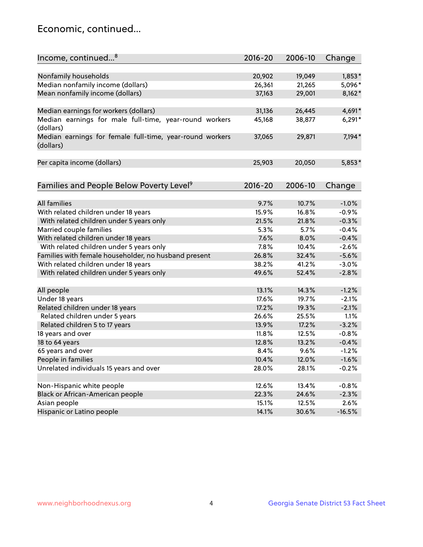## Economic, continued...

| Income, continued <sup>8</sup>                                        | $2016 - 20$ | 2006-10 | Change   |
|-----------------------------------------------------------------------|-------------|---------|----------|
|                                                                       |             |         |          |
| Nonfamily households                                                  | 20,902      | 19,049  | $1,853*$ |
| Median nonfamily income (dollars)                                     | 26,361      | 21,265  | 5,096*   |
| Mean nonfamily income (dollars)                                       | 37,163      | 29,001  | $8,162*$ |
| Median earnings for workers (dollars)                                 | 31,136      | 26,445  | 4,691*   |
| Median earnings for male full-time, year-round workers                | 45,168      | 38,877  | $6,291*$ |
| (dollars)                                                             |             |         |          |
| Median earnings for female full-time, year-round workers<br>(dollars) | 37,065      | 29,871  | 7,194*   |
| Per capita income (dollars)                                           | 25,903      | 20,050  | $5,853*$ |
|                                                                       |             |         |          |
| Families and People Below Poverty Level <sup>9</sup>                  | $2016 - 20$ | 2006-10 | Change   |
|                                                                       |             |         |          |
| <b>All families</b>                                                   | 9.7%        | 10.7%   | $-1.0%$  |
| With related children under 18 years                                  | 15.9%       | 16.8%   | $-0.9%$  |
| With related children under 5 years only                              | 21.5%       | 21.8%   | $-0.3%$  |
| Married couple families                                               | 5.3%        | 5.7%    | $-0.4%$  |
| With related children under 18 years                                  | 7.6%        | 8.0%    | $-0.4%$  |
| With related children under 5 years only                              | 7.8%        | 10.4%   | $-2.6%$  |
| Families with female householder, no husband present                  | 26.8%       | 32.4%   | $-5.6%$  |
| With related children under 18 years                                  | 38.2%       | 41.2%   | $-3.0%$  |
| With related children under 5 years only                              | 49.6%       | 52.4%   | $-2.8%$  |
| All people                                                            | 13.1%       | 14.3%   | $-1.2%$  |
| Under 18 years                                                        | 17.6%       | 19.7%   | $-2.1%$  |
| Related children under 18 years                                       | 17.2%       | 19.3%   | $-2.1%$  |
| Related children under 5 years                                        | 26.6%       | 25.5%   | 1.1%     |
| Related children 5 to 17 years                                        | 13.9%       | 17.2%   | $-3.2%$  |
| 18 years and over                                                     | 11.8%       | 12.5%   | $-0.8%$  |
| 18 to 64 years                                                        | 12.8%       | 13.2%   | $-0.4%$  |
| 65 years and over                                                     | 8.4%        | 9.6%    | $-1.2%$  |
| People in families                                                    | 10.4%       | 12.0%   | $-1.6%$  |
| Unrelated individuals 15 years and over                               | 28.0%       | 28.1%   | $-0.2%$  |
|                                                                       |             |         |          |
| Non-Hispanic white people                                             | 12.6%       | 13.4%   | $-0.8%$  |
| Black or African-American people                                      | 22.3%       | 24.6%   | $-2.3%$  |
| Asian people                                                          | 15.1%       | 12.5%   | 2.6%     |
| Hispanic or Latino people                                             | 14.1%       | 30.6%   | $-16.5%$ |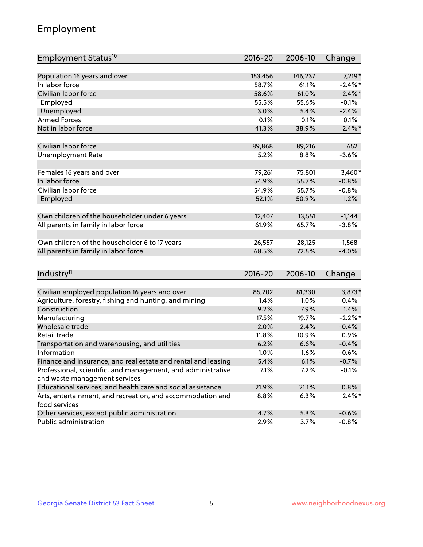## Employment

| Employment Status <sup>10</sup>                                             | 2016-20     | 2006-10 | Change     |
|-----------------------------------------------------------------------------|-------------|---------|------------|
|                                                                             |             |         |            |
| Population 16 years and over                                                | 153,456     | 146,237 | 7,219 *    |
| In labor force                                                              | 58.7%       | 61.1%   | $-2.4\%$ * |
| Civilian labor force                                                        | 58.6%       | 61.0%   | $-2.4\%$ * |
| Employed                                                                    | 55.5%       | 55.6%   | $-0.1%$    |
| Unemployed                                                                  | 3.0%        | 5.4%    | $-2.4%$    |
| <b>Armed Forces</b>                                                         | 0.1%        | 0.1%    | 0.1%       |
| Not in labor force                                                          | 41.3%       | 38.9%   | $2.4\%$ *  |
| Civilian labor force                                                        | 89,868      | 89,216  | 652        |
| <b>Unemployment Rate</b>                                                    | 5.2%        | 8.8%    | $-3.6%$    |
|                                                                             |             |         |            |
| Females 16 years and over                                                   | 79,261      | 75,801  | $3,460*$   |
| In labor force                                                              | 54.9%       | 55.7%   | $-0.8%$    |
| Civilian labor force                                                        | 54.9%       | 55.7%   | $-0.8%$    |
| Employed                                                                    | 52.1%       | 50.9%   | 1.2%       |
| Own children of the householder under 6 years                               | 12,407      | 13,551  | $-1,144$   |
|                                                                             | 61.9%       | 65.7%   | $-3.8%$    |
| All parents in family in labor force                                        |             |         |            |
| Own children of the householder 6 to 17 years                               | 26,557      | 28,125  | $-1,568$   |
| All parents in family in labor force                                        | 68.5%       | 72.5%   | $-4.0%$    |
|                                                                             |             |         |            |
| Industry <sup>11</sup>                                                      | $2016 - 20$ | 2006-10 | Change     |
|                                                                             |             |         |            |
| Civilian employed population 16 years and over                              | 85,202      | 81,330  | 3,873*     |
| Agriculture, forestry, fishing and hunting, and mining                      | 1.4%        | 1.0%    | 0.4%       |
| Construction                                                                | 9.2%        | 7.9%    | 1.4%       |
| Manufacturing                                                               | 17.5%       | 19.7%   | $-2.2\%$ * |
| Wholesale trade                                                             | 2.0%        | 2.4%    | $-0.4%$    |
| Retail trade                                                                | 11.8%       | 10.9%   | 0.9%       |
| Transportation and warehousing, and utilities                               | 6.2%        | 6.6%    | $-0.4%$    |
| Information                                                                 | 1.0%        | 1.6%    | $-0.6%$    |
| Finance and insurance, and real estate and rental and leasing               | 5.4%        | 6.1%    | $-0.7%$    |
| Professional, scientific, and management, and administrative                | 7.1%        | $7.2\%$ | $-0.1%$    |
| and waste management services                                               |             |         |            |
| Educational services, and health care and social assistance                 | 21.9%       | 21.1%   | 0.8%       |
| Arts, entertainment, and recreation, and accommodation and<br>food services | 8.8%        | 6.3%    | $2.4\%$ *  |
| Other services, except public administration                                | 4.7%        | 5.3%    | $-0.6%$    |
| Public administration                                                       | 2.9%        | 3.7%    | $-0.8%$    |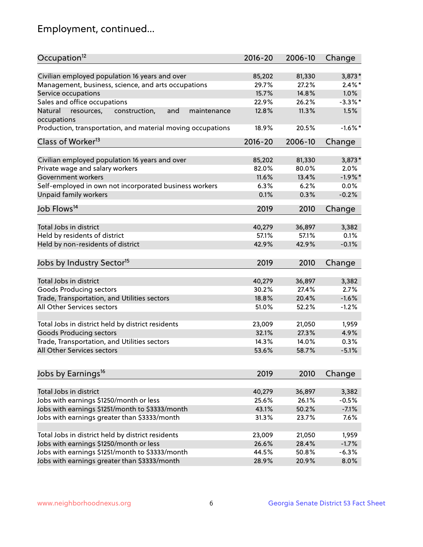## Employment, continued...

| Occupation <sup>12</sup>                                                    | $2016 - 20$ | 2006-10 | Change     |
|-----------------------------------------------------------------------------|-------------|---------|------------|
| Civilian employed population 16 years and over                              | 85,202      | 81,330  | $3,873*$   |
| Management, business, science, and arts occupations                         | 29.7%       | 27.2%   | $2.4\%$ *  |
| Service occupations                                                         | 15.7%       | 14.8%   | 1.0%       |
| Sales and office occupations                                                | 22.9%       | 26.2%   | $-3.3\%$ * |
|                                                                             |             | 11.3%   | 1.5%       |
| Natural<br>and<br>resources,<br>construction,<br>maintenance<br>occupations | 12.8%       |         |            |
| Production, transportation, and material moving occupations                 | 18.9%       | 20.5%   | $-1.6\%$ * |
| Class of Worker <sup>13</sup>                                               | $2016 - 20$ | 2006-10 | Change     |
|                                                                             |             |         |            |
| Civilian employed population 16 years and over                              | 85,202      | 81,330  | 3,873*     |
| Private wage and salary workers                                             | 82.0%       | 80.0%   | 2.0%       |
| Government workers                                                          | 11.6%       | 13.4%   | $-1.9%$ *  |
| Self-employed in own not incorporated business workers                      | 6.3%        | 6.2%    | 0.0%       |
| Unpaid family workers                                                       | 0.1%        | 0.3%    | $-0.2%$    |
| Job Flows <sup>14</sup>                                                     | 2019        | 2010    | Change     |
|                                                                             |             |         |            |
| Total Jobs in district                                                      | 40,279      | 36,897  | 3,382      |
| Held by residents of district                                               | 57.1%       | 57.1%   | 0.1%       |
| Held by non-residents of district                                           | 42.9%       | 42.9%   | $-0.1%$    |
| Jobs by Industry Sector <sup>15</sup>                                       | 2019        | 2010    | Change     |
|                                                                             |             |         |            |
| Total Jobs in district                                                      | 40,279      | 36,897  | 3,382      |
| Goods Producing sectors                                                     | 30.2%       | 27.4%   | 2.7%       |
| Trade, Transportation, and Utilities sectors                                | 18.8%       | 20.4%   | $-1.6%$    |
| All Other Services sectors                                                  | 51.0%       | 52.2%   | $-1.2%$    |
| Total Jobs in district held by district residents                           | 23,009      | 21,050  | 1,959      |
| <b>Goods Producing sectors</b>                                              | 32.1%       | 27.3%   | 4.9%       |
| Trade, Transportation, and Utilities sectors                                | 14.3%       | 14.0%   | 0.3%       |
| All Other Services sectors                                                  | 53.6%       | 58.7%   | $-5.1%$    |
|                                                                             |             |         |            |
| Jobs by Earnings <sup>16</sup>                                              | 2019        | 2010    | Change     |
|                                                                             |             |         |            |
| Total Jobs in district                                                      | 40,279      | 36,897  | 3,382      |
| Jobs with earnings \$1250/month or less                                     | 25.6%       | 26.1%   | $-0.5%$    |
| Jobs with earnings \$1251/month to \$3333/month                             | 43.1%       | 50.2%   | $-7.1%$    |
| Jobs with earnings greater than \$3333/month                                | 31.3%       | 23.7%   | 7.6%       |
| Total Jobs in district held by district residents                           | 23,009      | 21,050  | 1,959      |
| Jobs with earnings \$1250/month or less                                     | 26.6%       | 28.4%   | $-1.7%$    |
| Jobs with earnings \$1251/month to \$3333/month                             | 44.5%       | 50.8%   | $-6.3%$    |
| Jobs with earnings greater than \$3333/month                                | 28.9%       | 20.9%   | 8.0%       |
|                                                                             |             |         |            |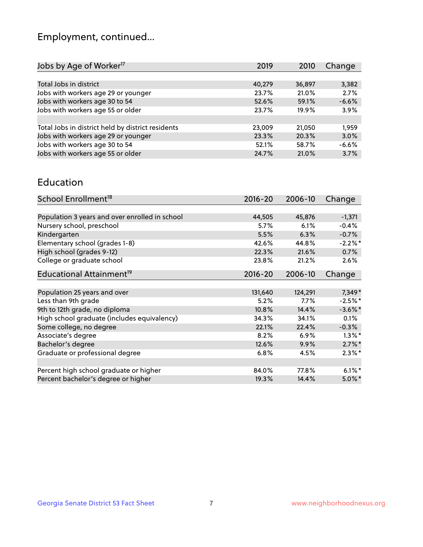## Employment, continued...

| 2019   | 2010   | Change  |
|--------|--------|---------|
|        |        |         |
| 40,279 | 36,897 | 3,382   |
| 23.7%  | 21.0%  | 2.7%    |
| 52.6%  | 59.1%  | $-6.6%$ |
| 23.7%  | 19.9%  | 3.9%    |
|        |        |         |
| 23,009 | 21,050 | 1,959   |
| 23.3%  | 20.3%  | 3.0%    |
| 52.1%  | 58.7%  | $-6.6%$ |
| 24.7%  | 21.0%  | 3.7%    |
|        |        |         |

#### Education

| School Enrollment <sup>18</sup>                | $2016 - 20$ | 2006-10 | Change     |
|------------------------------------------------|-------------|---------|------------|
|                                                |             |         |            |
| Population 3 years and over enrolled in school | 44,505      | 45,876  | $-1,371$   |
| Nursery school, preschool                      | 5.7%        | 6.1%    | $-0.4%$    |
| Kindergarten                                   | 5.5%        | 6.3%    | $-0.7%$    |
| Elementary school (grades 1-8)                 | 42.6%       | 44.8%   | $-2.2%$ *  |
| High school (grades 9-12)                      | 22.3%       | 21.6%   | 0.7%       |
| College or graduate school                     | 23.8%       | 21.2%   | 2.6%       |
| Educational Attainment <sup>19</sup>           | $2016 - 20$ | 2006-10 | Change     |
|                                                |             |         |            |
| Population 25 years and over                   | 131,640     | 124,291 | 7,349*     |
| Less than 9th grade                            | 5.2%        | 7.7%    | $-2.5%$ *  |
| 9th to 12th grade, no diploma                  | 10.8%       | 14.4%   | $-3.6\%$ * |
| High school graduate (includes equivalency)    | 34.3%       | 34.1%   | 0.1%       |
| Some college, no degree                        | 22.1%       | 22.4%   | $-0.3%$    |
| Associate's degree                             | 8.2%        | 6.9%    | $1.3\%$ *  |
| Bachelor's degree                              | 12.6%       | 9.9%    | $2.7\%$ *  |
| Graduate or professional degree                | 6.8%        | 4.5%    | $2.3\%*$   |
|                                                |             |         |            |
| Percent high school graduate or higher         | 84.0%       | 77.8%   | $6.1\%$ *  |
| Percent bachelor's degree or higher            | 19.3%       | 14.4%   | $5.0\%$ *  |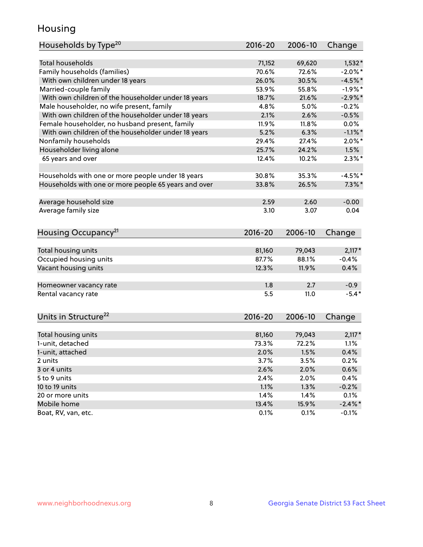## Housing

| Households by Type <sup>20</sup>                     | 2016-20     | 2006-10 | Change     |
|------------------------------------------------------|-------------|---------|------------|
|                                                      |             |         |            |
| <b>Total households</b>                              | 71,152      | 69,620  | $1,532*$   |
| Family households (families)                         | 70.6%       | 72.6%   | $-2.0\%$ * |
| With own children under 18 years                     | 26.0%       | 30.5%   | $-4.5%$ *  |
| Married-couple family                                | 53.9%       | 55.8%   | $-1.9%$ *  |
| With own children of the householder under 18 years  | 18.7%       | 21.6%   | $-2.9\%$ * |
| Male householder, no wife present, family            | 4.8%        | 5.0%    | $-0.2%$    |
| With own children of the householder under 18 years  | 2.1%        | 2.6%    | $-0.5%$    |
| Female householder, no husband present, family       | 11.9%       | 11.8%   | $0.0\%$    |
| With own children of the householder under 18 years  | 5.2%        | 6.3%    | $-1.1\%$ * |
| Nonfamily households                                 | 29.4%       | 27.4%   | $2.0\%$ *  |
| Householder living alone                             | 25.7%       | 24.2%   | 1.5%       |
| 65 years and over                                    | 12.4%       | 10.2%   | $2.3\%$ *  |
|                                                      |             |         |            |
| Households with one or more people under 18 years    | 30.8%       | 35.3%   | $-4.5%$ *  |
| Households with one or more people 65 years and over | 33.8%       | 26.5%   | $7.3\%$ *  |
|                                                      |             |         |            |
| Average household size                               | 2.59        | 2.60    | $-0.00$    |
| Average family size                                  | 3.10        | 3.07    | 0.04       |
|                                                      |             |         |            |
| Housing Occupancy <sup>21</sup>                      | $2016 - 20$ | 2006-10 | Change     |
|                                                      |             |         |            |
| Total housing units                                  | 81,160      | 79,043  | $2,117*$   |
| Occupied housing units                               | 87.7%       | 88.1%   | $-0.4%$    |
| Vacant housing units                                 | 12.3%       | 11.9%   | 0.4%       |
| Homeowner vacancy rate                               | 1.8         | 2.7     | $-0.9$     |
| Rental vacancy rate                                  | 5.5         | 11.0    | $-5.4*$    |
|                                                      |             |         |            |
| Units in Structure <sup>22</sup>                     | 2016-20     | 2006-10 | Change     |
|                                                      |             |         |            |
| Total housing units                                  | 81,160      | 79,043  | $2,117*$   |
| 1-unit, detached                                     | 73.3%       | 72.2%   | 1.1%       |
| 1-unit, attached                                     | 2.0%        | 1.5%    | 0.4%       |
| 2 units                                              | 3.7%        | 3.5%    | 0.2%       |
| 3 or 4 units                                         | 2.6%        | 2.0%    | 0.6%       |
| 5 to 9 units                                         | 2.4%        | 2.0%    | 0.4%       |
| 10 to 19 units                                       | 1.1%        | 1.3%    | $-0.2%$    |
| 20 or more units                                     | 1.4%        | 1.4%    | 0.1%       |
| Mobile home                                          | 13.4%       | 15.9%   | $-2.4\%$ * |
| Boat, RV, van, etc.                                  | 0.1%        | 0.1%    | $-0.1%$    |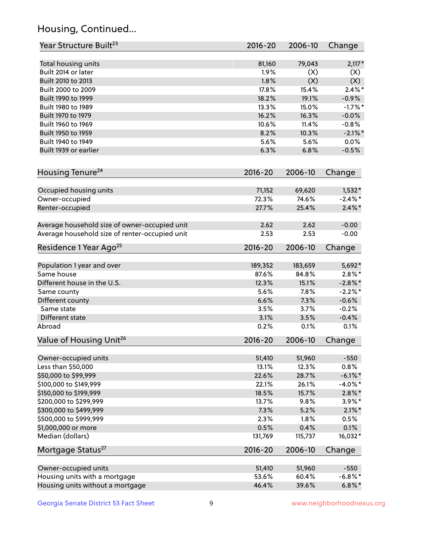## Housing, Continued...

| Year Structure Built <sup>23</sup>             | 2016-20     | 2006-10 | Change     |
|------------------------------------------------|-------------|---------|------------|
| Total housing units                            | 81,160      | 79,043  | $2,117*$   |
| Built 2014 or later                            | 1.9%        | (X)     | (X)        |
| Built 2010 to 2013                             | 1.8%        | (X)     | (X)        |
| Built 2000 to 2009                             | 17.8%       | 15.4%   | $2.4\%$ *  |
| Built 1990 to 1999                             | 18.2%       | 19.1%   | $-0.9%$    |
| Built 1980 to 1989                             | 13.3%       | 15.0%   | $-1.7%$ *  |
| Built 1970 to 1979                             | 16.2%       | 16.3%   | $-0.0%$    |
| Built 1960 to 1969                             | 10.6%       | 11.4%   | $-0.8%$    |
| Built 1950 to 1959                             | 8.2%        | 10.3%   | $-2.1\%$ * |
| Built 1940 to 1949                             | 5.6%        | 5.6%    | 0.0%       |
| Built 1939 or earlier                          | 6.3%        | 6.8%    | $-0.5%$    |
| Housing Tenure <sup>24</sup>                   | $2016 - 20$ | 2006-10 | Change     |
| Occupied housing units                         | 71,152      | 69,620  | $1,532*$   |
| Owner-occupied                                 | 72.3%       | 74.6%   | $-2.4\%$ * |
| Renter-occupied                                | 27.7%       | 25.4%   | $2.4\%$ *  |
| Average household size of owner-occupied unit  | 2.62        | 2.62    | $-0.00$    |
| Average household size of renter-occupied unit | 2.53        | 2.53    | $-0.00$    |
| Residence 1 Year Ago <sup>25</sup>             | $2016 - 20$ | 2006-10 | Change     |
| Population 1 year and over                     | 189,352     | 183,659 | 5,692*     |
| Same house                                     | 87.6%       | 84.8%   | $2.8\%$ *  |
| Different house in the U.S.                    | 12.3%       | 15.1%   | $-2.8\%$ * |
| Same county                                    | 5.6%        | 7.8%    | $-2.2%$ *  |
| Different county                               | 6.6%        | 7.3%    | $-0.6%$    |
| Same state                                     | 3.5%        | 3.7%    | $-0.2%$    |
| Different state                                | 3.1%        | 3.5%    | $-0.4%$    |
| Abroad                                         | 0.2%        | 0.1%    | 0.1%       |
| Value of Housing Unit <sup>26</sup>            | $2016 - 20$ | 2006-10 | Change     |
| Owner-occupied units                           | 51,410      | 51,960  | $-550$     |
| Less than \$50,000                             | 13.1%       | 12.3%   | 0.8%       |
| \$50,000 to \$99,999                           | 22.6%       | 28.7%   | $-6.1\%$ * |
| \$100,000 to \$149,999                         | 22.1%       | 26.1%   | $-4.0\%$ * |
| \$150,000 to \$199,999                         | 18.5%       | 15.7%   | $2.8\%$ *  |
| \$200,000 to \$299,999                         | 13.7%       | 9.8%    | $3.9\%$ *  |
| \$300,000 to \$499,999                         | 7.3%        | 5.2%    | $2.1\%$ *  |
| \$500,000 to \$999,999                         | 2.3%        | 1.8%    | 0.5%       |
| \$1,000,000 or more                            | 0.5%        | 0.4%    | 0.1%       |
| Median (dollars)                               | 131,769     | 115,737 | 16,032*    |
| Mortgage Status <sup>27</sup>                  | $2016 - 20$ | 2006-10 | Change     |
| Owner-occupied units                           | 51,410      | 51,960  | $-550$     |
| Housing units with a mortgage                  | 53.6%       | 60.4%   | $-6.8\%$ * |
| Housing units without a mortgage               | 46.4%       | 39.6%   | $6.8\%$ *  |
|                                                |             |         |            |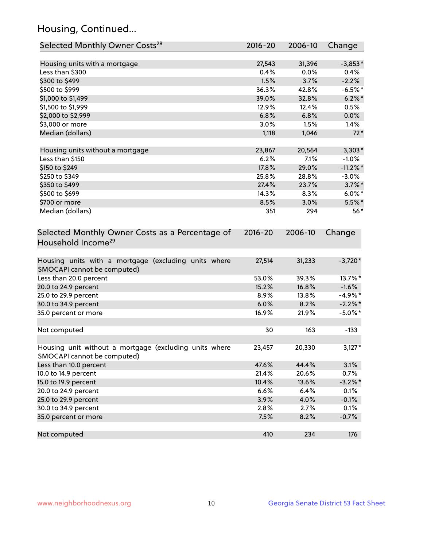## Housing, Continued...

| Selected Monthly Owner Costs <sup>28</sup>                                            | 2016-20 | 2006-10 | Change      |
|---------------------------------------------------------------------------------------|---------|---------|-------------|
| Housing units with a mortgage                                                         | 27,543  | 31,396  | $-3,853*$   |
| Less than \$300                                                                       | 0.4%    | 0.0%    | 0.4%        |
| \$300 to \$499                                                                        | 1.5%    | 3.7%    | $-2.2%$     |
| \$500 to \$999                                                                        | 36.3%   | 42.8%   | $-6.5%$ *   |
| \$1,000 to \$1,499                                                                    | 39.0%   | 32.8%   | $6.2\%$ *   |
| \$1,500 to \$1,999                                                                    | 12.9%   | 12.4%   | 0.5%        |
| \$2,000 to \$2,999                                                                    | 6.8%    | 6.8%    | 0.0%        |
| \$3,000 or more                                                                       | 3.0%    | 1.5%    | 1.4%        |
| Median (dollars)                                                                      | 1,118   | 1,046   | $72*$       |
| Housing units without a mortgage                                                      | 23,867  | 20,564  | $3,303*$    |
| Less than \$150                                                                       | 6.2%    | 7.1%    | $-1.0%$     |
| \$150 to \$249                                                                        | 17.8%   | 29.0%   | $-11.2\%$ * |
| \$250 to \$349                                                                        | 25.8%   | 28.8%   | $-3.0%$     |
| \$350 to \$499                                                                        | 27.4%   | 23.7%   | $3.7\%$ *   |
| \$500 to \$699                                                                        | 14.3%   | 8.3%    | $6.0\%$ *   |
| \$700 or more                                                                         | 8.5%    | 3.0%    | $5.5\%$ *   |
| Median (dollars)                                                                      | 351     | 294     | $56*$       |
| Household Income <sup>29</sup>                                                        |         |         | Change      |
| Housing units with a mortgage (excluding units where<br>SMOCAPI cannot be computed)   | 27,514  | 31,233  | $-3,720*$   |
| Less than 20.0 percent                                                                | 53.0%   | 39.3%   | 13.7%*      |
| 20.0 to 24.9 percent                                                                  | 15.2%   | 16.8%   | $-1.6%$     |
| 25.0 to 29.9 percent                                                                  | 8.9%    | 13.8%   | $-4.9\%$ *  |
| 30.0 to 34.9 percent                                                                  | 6.0%    | 8.2%    | $-2.2\%$ *  |
| 35.0 percent or more                                                                  | 16.9%   | 21.9%   | $-5.0\%$ *  |
| Not computed                                                                          | 30      | 163     | $-133$      |
| Housing unit without a mortgage (excluding units where<br>SMOCAPI cannot be computed) | 23,457  | 20,330  | $3,127*$    |
| Less than 10.0 percent                                                                | 47.6%   | 44.4%   | 3.1%        |
| 10.0 to 14.9 percent                                                                  | 21.4%   | 20.6%   | 0.7%        |
| 15.0 to 19.9 percent                                                                  | 10.4%   | 13.6%   | $-3.2\%$ *  |
| 20.0 to 24.9 percent                                                                  | 6.6%    | 6.4%    | 0.1%        |
| 25.0 to 29.9 percent                                                                  | 3.9%    | 4.0%    | $-0.1%$     |
| 30.0 to 34.9 percent                                                                  | 2.8%    | 2.7%    | 0.1%        |
| 35.0 percent or more                                                                  | 7.5%    | 8.2%    | $-0.7%$     |
| Not computed                                                                          | 410     | 234     | 176         |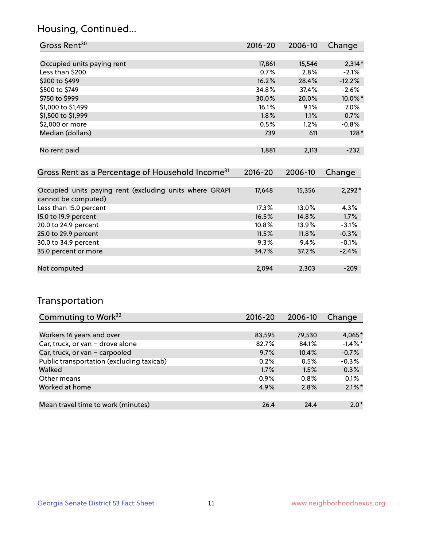## Housing, Continued...

| Gross Rent <sup>30</sup>                                     | $2016 - 20$ | $2006 - 10$ | Change   |
|--------------------------------------------------------------|-------------|-------------|----------|
|                                                              |             |             |          |
| Occupied units paying rent                                   | 17,861      | 15,546      | $2,314*$ |
| Less than \$200                                              | 0.7%        | 2.8%        | $-2.1%$  |
| \$200 to \$499                                               | 16.2%       | 28.4%       | $-12.2%$ |
| \$500 to \$749                                               | 34.8%       | 37.4%       | $-2.6\%$ |
| \$750 to \$999                                               | 30.0%       | 20.0%       | 10.0%*   |
| \$1,000 to \$1,499                                           | 16.1%       | 9.1%        | 7.0%     |
| \$1,500 to \$1,999                                           | 1.8%        | 1.1%        | 0.7%     |
| \$2,000 or more                                              | 0.5%        | 1.2%        | $-0.8%$  |
| Median (dollars)                                             | 739         | 611         | $128*$   |
|                                                              |             |             |          |
| No rent paid                                                 | 1,881       | 2,113       | $-232$   |
|                                                              |             |             |          |
| Gross Rent as a Percentage of Household Income <sup>31</sup> | 2016-20     | 2006-10     | Change   |
|                                                              |             |             |          |
| Occupied units paying rent (excluding units where GRAPI      | 17,648      | 15,356      | $2,292*$ |
| cannot be computed)                                          |             |             |          |
| Less than 15.0 percent                                       | 17.3%       | 13.0%       | 4.3%     |
| 15.0 to 19.9 percent                                         | 16.5%       | 14.8%       | 1.7%     |
| 20.0 to 24.9 percent                                         | 10.8%       | 13.9%       | $-3.1%$  |
| 25.0 to 29.9 percent                                         | 11.5%       | 11.8%       | $-0.3%$  |
|                                                              |             |             |          |

| $-0.0$ to $-2.12$ por corre | .     | .     | <u>.</u> |
|-----------------------------|-------|-------|----------|
| 30.0 to 34.9 percent        | 9.3%  | 9.4%  | $-0.1%$  |
| 35.0 percent or more        | 34.7% | 37.2% | $-2.4%$  |
|                             |       |       |          |
| Not computed                | 2.094 | 2.303 | -209     |
|                             |       |       |          |

## Transportation

| Commuting to Work <sup>32</sup>           | 2016-20 | 2006-10 | Change     |
|-------------------------------------------|---------|---------|------------|
|                                           |         |         |            |
| Workers 16 years and over                 | 83,595  | 79,530  | 4,065*     |
| Car, truck, or van - drove alone          | 82.7%   | 84.1%   | $-1.4\%$ * |
| Car, truck, or van - carpooled            | 9.7%    | 10.4%   | $-0.7%$    |
| Public transportation (excluding taxicab) | 0.2%    | 0.5%    | $-0.3%$    |
| Walked                                    | 1.7%    | 1.5%    | 0.3%       |
| Other means                               | $0.9\%$ | 0.8%    | 0.1%       |
| Worked at home                            | 4.9%    | 2.8%    | $2.1\%$ *  |
|                                           |         |         |            |
| Mean travel time to work (minutes)        | 26.4    | 24.4    | $2.0*$     |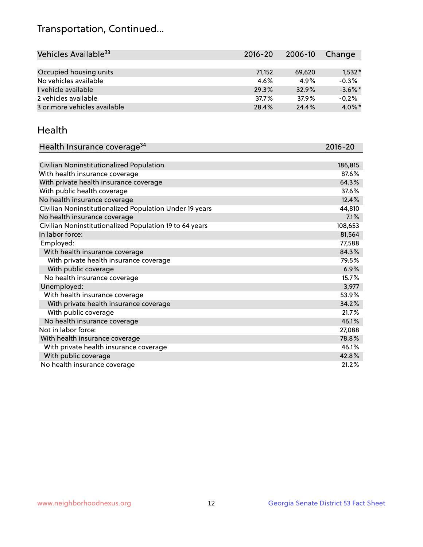## Transportation, Continued...

| Vehicles Available <sup>33</sup> | $2016 - 20$ | $2006 - 10$ | Change     |
|----------------------------------|-------------|-------------|------------|
|                                  |             |             |            |
| Occupied housing units           | 71,152      | 69,620      | $1,532*$   |
| No vehicles available            | $4.6\%$     | 4.9%        | $-0.3%$    |
| 1 vehicle available              | 29.3%       | 32.9%       | $-3.6\%$ * |
| 2 vehicles available             | 37.7%       | 37.9%       | $-0.2%$    |
| 3 or more vehicles available     | 28.4%       | 24.4%       | $4.0\%$ *  |

#### Health

| Health Insurance coverage <sup>34</sup>                 | 2016-20 |
|---------------------------------------------------------|---------|
|                                                         |         |
| Civilian Noninstitutionalized Population                | 186,815 |
| With health insurance coverage                          | 87.6%   |
| With private health insurance coverage                  | 64.3%   |
| With public health coverage                             | 37.6%   |
| No health insurance coverage                            | 12.4%   |
| Civilian Noninstitutionalized Population Under 19 years | 44,810  |
| No health insurance coverage                            | 7.1%    |
| Civilian Noninstitutionalized Population 19 to 64 years | 108,653 |
| In labor force:                                         | 81,564  |
| Employed:                                               | 77,588  |
| With health insurance coverage                          | 84.3%   |
| With private health insurance coverage                  | 79.5%   |
| With public coverage                                    | 6.9%    |
| No health insurance coverage                            | 15.7%   |
| Unemployed:                                             | 3,977   |
| With health insurance coverage                          | 53.9%   |
| With private health insurance coverage                  | 34.2%   |
| With public coverage                                    | 21.7%   |
| No health insurance coverage                            | 46.1%   |
| Not in labor force:                                     | 27,088  |
| With health insurance coverage                          | 78.8%   |
| With private health insurance coverage                  | 46.1%   |
| With public coverage                                    | 42.8%   |
| No health insurance coverage                            | 21.2%   |